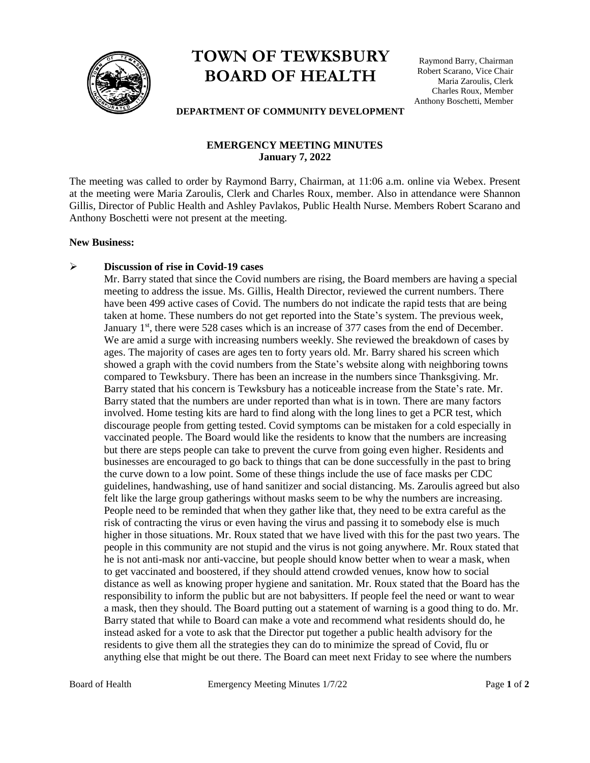

# **TOWN OF TEWKSBURY BOARD OF HEALTH**

Raymond Barry, Chairman Robert Scarano, Vice Chair Maria Zaroulis, Clerk Charles Roux, Member Anthony Boschetti, Member

#### **DEPARTMENT OF COMMUNITY DEVELOPMENT**

## **EMERGENCY MEETING MINUTES January 7, 2022**

The meeting was called to order by Raymond Barry, Chairman, at 11:06 a.m. online via Webex. Present at the meeting were Maria Zaroulis, Clerk and Charles Roux, member. Also in attendance were Shannon Gillis, Director of Public Health and Ashley Pavlakos, Public Health Nurse. Members Robert Scarano and Anthony Boschetti were not present at the meeting.

#### **New Business:**

#### ➢ **Discussion of rise in Covid-19 cases**

Mr. Barry stated that since the Covid numbers are rising, the Board members are having a special meeting to address the issue. Ms. Gillis, Health Director, reviewed the current numbers. There have been 499 active cases of Covid. The numbers do not indicate the rapid tests that are being taken at home. These numbers do not get reported into the State's system. The previous week, January 1<sup>st</sup>, there were 528 cases which is an increase of 377 cases from the end of December. We are amid a surge with increasing numbers weekly. She reviewed the breakdown of cases by ages. The majority of cases are ages ten to forty years old. Mr. Barry shared his screen which showed a graph with the covid numbers from the State's website along with neighboring towns compared to Tewksbury. There has been an increase in the numbers since Thanksgiving. Mr. Barry stated that his concern is Tewksbury has a noticeable increase from the State's rate. Mr. Barry stated that the numbers are under reported than what is in town. There are many factors involved. Home testing kits are hard to find along with the long lines to get a PCR test, which discourage people from getting tested. Covid symptoms can be mistaken for a cold especially in vaccinated people. The Board would like the residents to know that the numbers are increasing but there are steps people can take to prevent the curve from going even higher. Residents and businesses are encouraged to go back to things that can be done successfully in the past to bring the curve down to a low point. Some of these things include the use of face masks per CDC guidelines, handwashing, use of hand sanitizer and social distancing. Ms. Zaroulis agreed but also felt like the large group gatherings without masks seem to be why the numbers are increasing. People need to be reminded that when they gather like that, they need to be extra careful as the risk of contracting the virus or even having the virus and passing it to somebody else is much higher in those situations. Mr. Roux stated that we have lived with this for the past two years. The people in this community are not stupid and the virus is not going anywhere. Mr. Roux stated that he is not anti-mask nor anti-vaccine, but people should know better when to wear a mask, when to get vaccinated and boostered, if they should attend crowded venues, know how to social distance as well as knowing proper hygiene and sanitation. Mr. Roux stated that the Board has the responsibility to inform the public but are not babysitters. If people feel the need or want to wear a mask, then they should. The Board putting out a statement of warning is a good thing to do. Mr. Barry stated that while to Board can make a vote and recommend what residents should do, he instead asked for a vote to ask that the Director put together a public health advisory for the residents to give them all the strategies they can do to minimize the spread of Covid, flu or anything else that might be out there. The Board can meet next Friday to see where the numbers